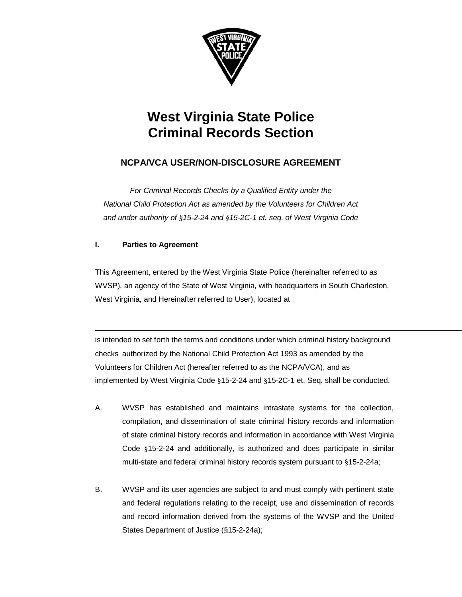

# **West Virginia State Police Criminal Records Section**

# **NCPA/VCA USER/NON-DISCLOSURE AGREEMENT**

*For Criminal Records Checks by a Qualified Entity under the National Child Protection Act as amended by the Volunteers for Children Act and under authority of §15-2-24 and §15-2C-1 et. seq. of West Virginia Code*

# **I. Parties to Agreement**

This Agreement, entered by the West Virginia State Police (hereinafter referred to as WVSP), an agency of the State of West Virginia, with headquarters in South Charleston, West Virginia, and Hereinafter referred to User), located at

is intended to set forth the terms and conditions under which criminal history background checks authorized by the National Child Protection Act 1993 as amended by the Volunteers for Children Act (hereafter referred to as the NCPA/VCA), and as implemented by West Virginia Code §15-2-24 and §15-2C-1 et. Seq. shall be conducted.

- A. WVSP has established and maintains intrastate systems for the collection, compilation, and dissemination of state criminal history records and information of state criminal history records and information in accordance with West Virginia Code §15-2-24 and additionally, is authorized and does participate in similar multi-state and federal criminal history records system pursuant to §15-2-24a;
- B. WVSP and its user agencies are subject to and must comply with pertinent state and federal regulations relating to the receipt, use and dissemination of records and record information derived from the systems of the WVSP and the United States Department of Justice (§15-2-24a);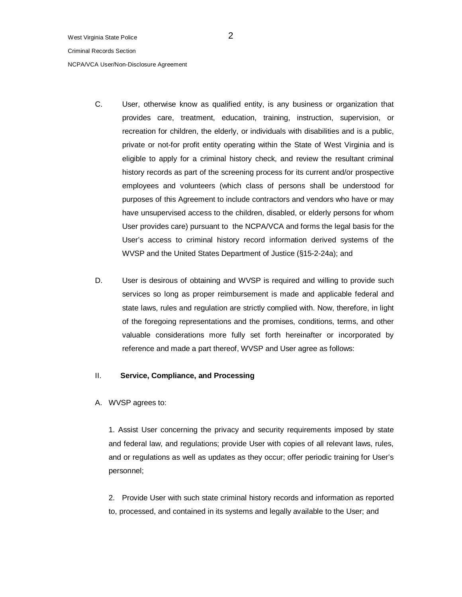NCPA/VCA User/Non-Disclosure Agreement

- C. User, otherwise know as qualified entity, is any business or organization that provides care, treatment, education, training, instruction, supervision, or recreation for children, the elderly, or individuals with disabilities and is a public, private or not-for profit entity operating within the State of West Virginia and is eligible to apply for a criminal history check, and review the resultant criminal history records as part of the screening process for its current and/or prospective employees and volunteers (which class of persons shall be understood for purposes of this Agreement to include contractors and vendors who have or may have unsupervised access to the children, disabled, or elderly persons for whom User provides care) pursuant to the NCPA/VCA and forms the legal basis for the User's access to criminal history record information derived systems of the WVSP and the United States Department of Justice (§15-2-24a); and
- D. User is desirous of obtaining and WVSP is required and willing to provide such services so long as proper reimbursement is made and applicable federal and state laws, rules and regulation are strictly complied with. Now, therefore, in light of the foregoing representations and the promises, conditions, terms, and other valuable considerations more fully set forth hereinafter or incorporated by reference and made a part thereof, WVSP and User agree as follows:

# II. **Service, Compliance, and Processing**

A. WVSP agrees to:

1. Assist User concerning the privacy and security requirements imposed by state and federal law, and regulations; provide User with copies of all relevant laws, rules, and or regulations as well as updates as they occur; offer periodic training for User's personnel;

2. Provide User with such state criminal history records and information as reported to, processed, and contained in its systems and legally available to the User; and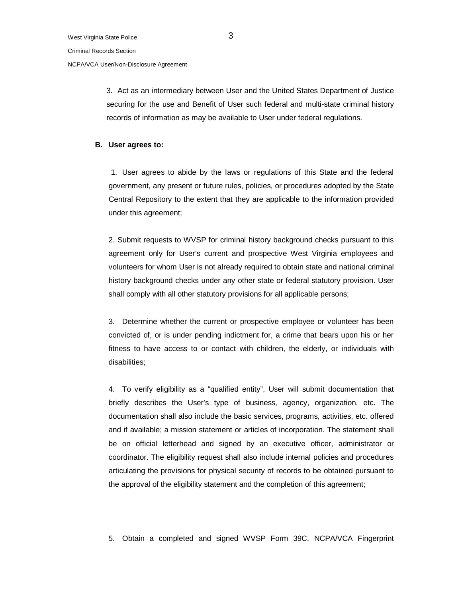NCPA/VCA User/Non-Disclosure Agreement

3. Act as an intermediary between User and the United States Department of Justice securing for the use and Benefit of User such federal and multi-state criminal history records of information as may be available to User under federal regulations.

### **B. User agrees to:**

1. User agrees to abide by the laws or regulations of this State and the federal government, any present or future rules, policies, or procedures adopted by the State Central Repository to the extent that they are applicable to the information provided under this agreement;

2. Submit requests to WVSP for criminal history background checks pursuant to this agreement only for User's current and prospective West Virginia employees and volunteers for whom User is not already required to obtain state and national criminal history background checks under any other state or federal statutory provision. User shall comply with all other statutory provisions for all applicable persons;

3. Determine whether the current or prospective employee or volunteer has been convicted of, or is under pending indictment for, a crime that bears upon his or her fitness to have access to or contact with children, the elderly, or individuals with disabilities;

4. To verify eligibility as a "qualified entity", User will submit documentation that briefly describes the User's type of business, agency, organization, etc. The documentation shall also include the basic services, programs, activities, etc. offered and if available; a mission statement or articles of incorporation. The statement shall be on official letterhead and signed by an executive officer, administrator or coordinator. The eligibility request shall also include internal policies and procedures articulating the provisions for physical security of records to be obtained pursuant to the approval of the eligibility statement and the completion of this agreement;

5. Obtain a completed and signed WVSP Form 39C, NCPA/VCA Fingerprint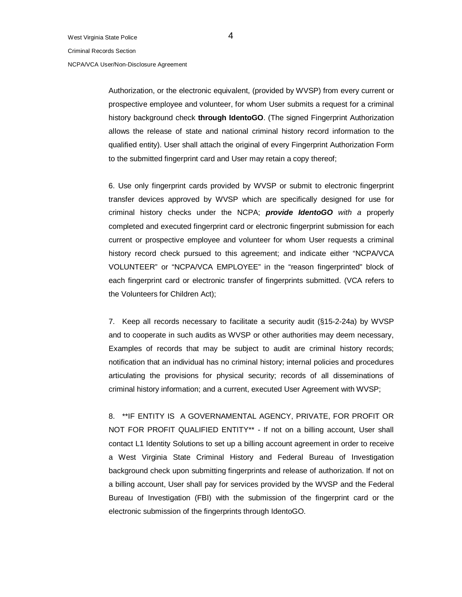#### NCPA/VCA User/Non-Disclosure Agreement

Authorization, or the electronic equivalent, (provided by WVSP) from every current or prospective employee and volunteer, for whom User submits a request for a criminal history background check **through IdentoGO**. (The signed Fingerprint Authorization allows the release of state and national criminal history record information to the qualified entity). User shall attach the original of every Fingerprint Authorization Form to the submitted fingerprint card and User may retain a copy thereof;

6. Use only fingerprint cards provided by WVSP or submit to electronic fingerprint transfer devices approved by WVSP which are specifically designed for use for criminal history checks under the NCPA; *provide IdentoGO with a* properly completed and executed fingerprint card or electronic fingerprint submission for each current or prospective employee and volunteer for whom User requests a criminal history record check pursued to this agreement; and indicate either "NCPA/VCA VOLUNTEER" or "NCPA/VCA EMPLOYEE" in the "reason fingerprinted" block of each fingerprint card or electronic transfer of fingerprints submitted. (VCA refers to the Volunteers for Children Act);

7. Keep all records necessary to facilitate a security audit (§15-2-24a) by WVSP and to cooperate in such audits as WVSP or other authorities may deem necessary, Examples of records that may be subject to audit are criminal history records; notification that an individual has no criminal history; internal policies and procedures articulating the provisions for physical security; records of all disseminations of criminal history information; and a current, executed User Agreement with WVSP;

8. \*\*IF ENTITY IS A GOVERNAMENTAL AGENCY, PRIVATE, FOR PROFIT OR NOT FOR PROFIT QUALIFIED ENTITY\*\* - If not on a billing account, User shall contact L1 Identity Solutions to set up a billing account agreement in order to receive a West Virginia State Criminal History and Federal Bureau of Investigation background check upon submitting fingerprints and release of authorization. If not on a billing account, User shall pay for services provided by the WVSP and the Federal Bureau of Investigation (FBI) with the submission of the fingerprint card or the electronic submission of the fingerprints through IdentoGO.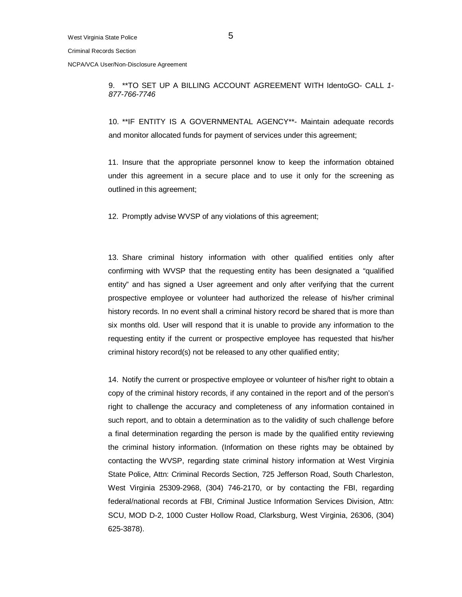NCPA/VCA User/Non-Disclosure Agreement

9. \*\*TO SET UP A BILLING ACCOUNT AGREEMENT WITH IdentoGO- CALL *1- 877-766-7746*

10. \*\*IF ENTITY IS A GOVERNMENTAL AGENCY\*\*- Maintain adequate records and monitor allocated funds for payment of services under this agreement;

11. Insure that the appropriate personnel know to keep the information obtained under this agreement in a secure place and to use it only for the screening as outlined in this agreement;

12. Promptly advise WVSP of any violations of this agreement;

13. Share criminal history information with other qualified entities only after confirming with WVSP that the requesting entity has been designated a "qualified entity" and has signed a User agreement and only after verifying that the current prospective employee or volunteer had authorized the release of his/her criminal history records. In no event shall a criminal history record be shared that is more than six months old. User will respond that it is unable to provide any information to the requesting entity if the current or prospective employee has requested that his/her criminal history record(s) not be released to any other qualified entity;

14. Notify the current or prospective employee or volunteer of his/her right to obtain a copy of the criminal history records, if any contained in the report and of the person's right to challenge the accuracy and completeness of any information contained in such report, and to obtain a determination as to the validity of such challenge before a final determination regarding the person is made by the qualified entity reviewing the criminal history information. (Information on these rights may be obtained by contacting the WVSP, regarding state criminal history information at West Virginia State Police, Attn: Criminal Records Section, 725 Jefferson Road, South Charleston, West Virginia 25309-2968, (304) 746-2170, or by contacting the FBI, regarding federal/national records at FBI, Criminal Justice Information Services Division, Attn: SCU, MOD D-2, 1000 Custer Hollow Road, Clarksburg, West Virginia, 26306, (304) 625-3878).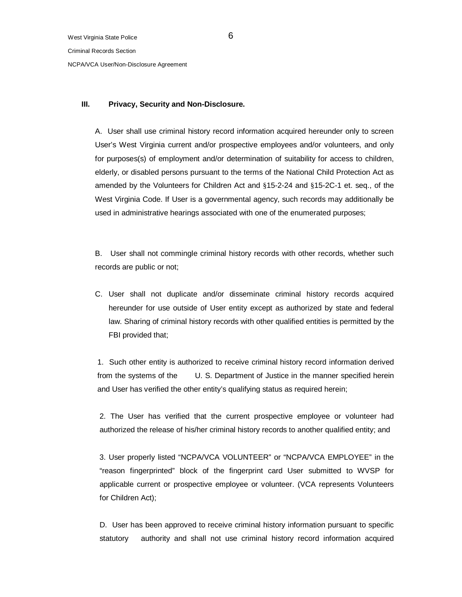NCPA/VCA User/Non-Disclosure Agreement

# **III. Privacy, Security and Non-Disclosure.**

A. User shall use criminal history record information acquired hereunder only to screen User's West Virginia current and/or prospective employees and/or volunteers, and only for purposes(s) of employment and/or determination of suitability for access to children, elderly, or disabled persons pursuant to the terms of the National Child Protection Act as amended by the Volunteers for Children Act and §15-2-24 and §15-2C-1 et. seq., of the West Virginia Code. If User is a governmental agency, such records may additionally be used in administrative hearings associated with one of the enumerated purposes;

B. User shall not commingle criminal history records with other records, whether such records are public or not;

C. User shall not duplicate and/or disseminate criminal history records acquired hereunder for use outside of User entity except as authorized by state and federal law. Sharing of criminal history records with other qualified entities is permitted by the FBI provided that;

1. Such other entity is authorized to receive criminal history record information derived from the systems of the U. S. Department of Justice in the manner specified herein and User has verified the other entity's qualifying status as required herein;

2. The User has verified that the current prospective employee or volunteer had authorized the release of his/her criminal history records to another qualified entity; and

3. User properly listed "NCPA/VCA VOLUNTEER" or "NCPA/VCA EMPLOYEE" in the "reason fingerprinted" block of the fingerprint card User submitted to WVSP for applicable current or prospective employee or volunteer. (VCA represents Volunteers for Children Act);

D. User has been approved to receive criminal history information pursuant to specific statutory authority and shall not use criminal history record information acquired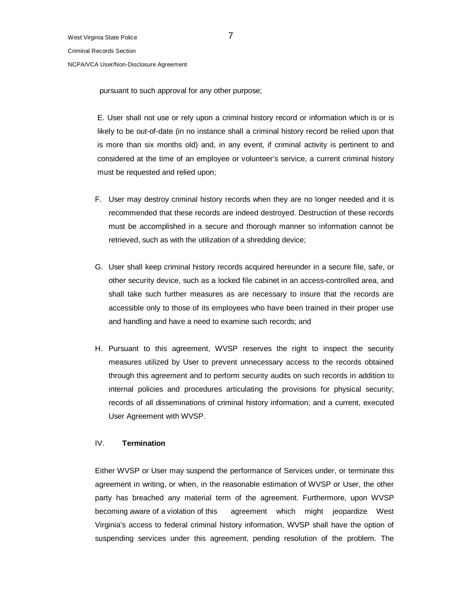NCPA/VCA User/Non-Disclosure Agreement

pursuant to such approval for any other purpose;

E. User shall not use or rely upon a criminal history record or information which is or is likely to be out-of-date (in no instance shall a criminal history record be relied upon that is more than six months old) and, in any event, if criminal activity is pertinent to and considered at the time of an employee or volunteer's service, a current criminal history must be requested and relied upon;

- F. User may destroy criminal history records when they are no longer needed and it is recommended that these records are indeed destroyed. Destruction of these records must be accomplished in a secure and thorough manner so information cannot be retrieved, such as with the utilization of a shredding device;
- G. User shall keep criminal history records acquired hereunder in a secure file, safe, or other security device, such as a locked file cabinet in an access-controlled area, and shall take such further measures as are necessary to insure that the records are accessible only to those of its employees who have been trained in their proper use and handling and have a need to examine such records; and
- H. Pursuant to this agreement, WVSP reserves the right to inspect the security measures utilized by User to prevent unnecessary access to the records obtained through this agreement and to perform security audits on such records in addition to internal policies and procedures articulating the provisions for physical security; records of all disseminations of criminal history information; and a current, executed User Agreement with WVSP.

# IV. **Termination**

Either WVSP or User may suspend the performance of Services under, or terminate this agreement in writing, or when, in the reasonable estimation of WVSP or User, the other party has breached any material term of the agreement. Furthermore, upon WVSP becoming aware of a violation of this agreement which might jeopardize West Virginia's access to federal criminal history information, WVSP shall have the option of suspending services under this agreement, pending resolution of the problem. The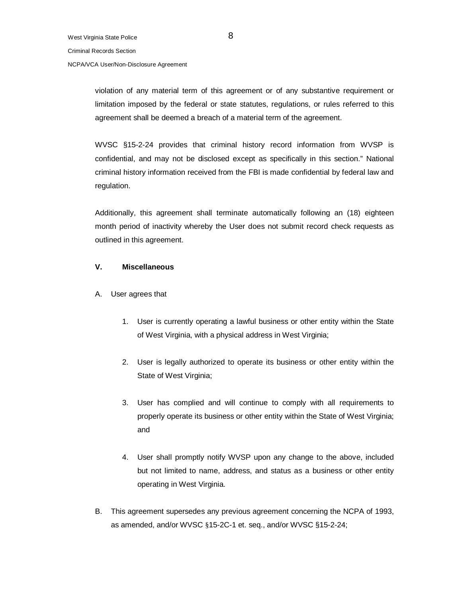### NCPA/VCA User/Non-Disclosure Agreement

violation of any material term of this agreement or of any substantive requirement or limitation imposed by the federal or state statutes, regulations, or rules referred to this agreement shall be deemed a breach of a material term of the agreement.

WVSC §15-2-24 provides that criminal history record information from WVSP is confidential, and may not be disclosed except as specifically in this section." National criminal history information received from the FBI is made confidential by federal law and regulation.

Additionally, this agreement shall terminate automatically following an (18) eighteen month period of inactivity whereby the User does not submit record check requests as outlined in this agreement.

## **V. Miscellaneous**

- A. User agrees that
	- 1. User is currently operating a lawful business or other entity within the State of West Virginia, with a physical address in West Virginia;
	- 2. User is legally authorized to operate its business or other entity within the State of West Virginia;
	- 3. User has complied and will continue to comply with all requirements to properly operate its business or other entity within the State of West Virginia; and
	- 4. User shall promptly notify WVSP upon any change to the above, included but not limited to name, address, and status as a business or other entity operating in West Virginia.
- B. This agreement supersedes any previous agreement concerning the NCPA of 1993, as amended, and/or WVSC §15-2C-1 et. seq., and/or WVSC §15-2-24;